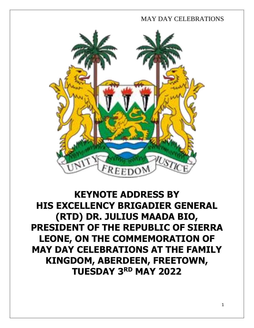

# **KEYNOTE ADDRESS BY HIS EXCELLENCY BRIGADIER GENERAL (RTD) DR. JULIUS MAADA BIO, PRESIDENT OF THE REPUBLIC OF SIERRA LEONE, ON THE COMMEMORATION OF MAY DAY CELEBRATIONS AT THE FAMILY KINGDOM, ABERDEEN, FREETOWN, TUESDAY 3 RD MAY 2022**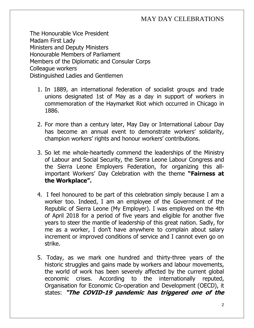The Honourable Vice President Madam First Lady Ministers and Deputy Ministers Honourable Members of Parliament Members of the Diplomatic and Consular Corps Colleague workers Distinguished Ladies and Gentlemen

- 1. In 1889, an international federation of socialist groups and trade unions designated 1st of May as a day in support of workers in commemoration of the Haymarket Riot which occurred in Chicago in 1886.
- 2. For more than a century later, May Day or International Labour Day has become an annual event to demonstrate workers' solidarity, champion workers' rights and honour workers' contributions.
- 3. So let me whole-heartedly commend the leaderships of the Ministry of Labour and Social Security, the Sierra Leone Labour Congress and the Sierra Leone Employers Federation, for organizing this allimportant Workers' Day Celebration with the theme **"Fairness at the Workplace".**
- 4. I feel honoured to be part of this celebration simply because I am a worker too. Indeed, I am an employee of the Government of the Republic of Sierra Leone (My Employer). I was employed on the 4th of April 2018 for a period of five years and eligible for another five years to steer the mantle of leadership of this great nation. Sadly, for me as a worker, I don't have anywhere to complain about salary increment or improved conditions of service and I cannot even go on strike.
- 5. Today, as we mark one hundred and thirty-three years of the historic struggles and gains made by workers and labour movements, the world of work has been severely affected by the current global economic crises. According to the internationally reputed, Organisation for Economic Co-operation and Development (OECD), it states: **"The COVID-19 pandemic has triggered one of the**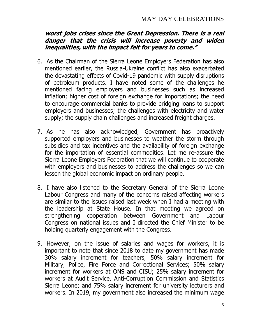#### **worst jobs crises since the Great Depression. There is a real danger that the crisis will increase poverty and widen inequalities, with the impact felt for years to come."**

- 6. As the Chairman of the Sierra Leone Employers Federation has also mentioned earlier, the Russia-Ukraine conflict has also exacerbated the devastating effects of Covid-19 pandemic with supply disruptions of petroleum products. I have noted some of the challenges he mentioned facing employers and businesses such as increased inflation; higher cost of foreign exchange for importations; the need to encourage commercial banks to provide bridging loans to support employers and businesses; the challenges with electricity and water supply; the supply chain challenges and increased freight charges.
- 7. As he has also acknowledged, Government has proactively supported employers and businesses to weather the storm through subsidies and tax incentives and the availability of foreign exchange for the importation of essential commodities. Let me re-assure the Sierra Leone Employers Federation that we will continue to cooperate with employers and businesses to address the challenges so we can lessen the global economic impact on ordinary people.
- 8. I have also listened to the Secretary General of the Sierra Leone Labour Congress and many of the concerns raised affecting workers are similar to the issues raised last week when I had a meeting with the leadership at State House. In that meeting we agreed on strengthening cooperation between Government and Labour Congress on national issues and I directed the Chief Minister to be holding quarterly engagement with the Congress.
- 9. However, on the issue of salaries and wages for workers, it is important to note that since 2018 to date my government has made 30% salary increment for teachers, 50% salary increment for Military, Police, Fire Force and Correctional Services; 50% salary increment for workers at ONS and CISU; 25% salary increment for workers at Audit Service, Anti-Corruption Commission and Statistics Sierra Leone; and 75% salary increment for university lecturers and workers. In 2019, my government also increased the minimum wage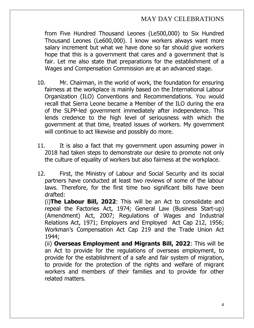from Five Hundred Thousand Leones (Le500,000) to Six Hundred Thousand Leones (Le600,000). I know workers always want more salary increment but what we have done so far should give workers hope that this is a government that cares and a government that is fair. Let me also state that preparations for the establishment of a Wages and Compensation Commission are at an advanced stage.

- 10. Mr. Chairman, in the world of work, the foundation for ensuring fairness at the workplace is mainly based on the International Labour Organization (ILO) Conventions and Recommendations. You would recall that Sierra Leone became a Member of the ILO during the era of the SLPP-led government immediately after independence. This lends credence to the high level of seriousness with which the government at that time, treated issues of workers. My government will continue to act likewise and possibly do more.
- 11. It is also a fact that my government upon assuming power in 2018 had taken steps to demonstrate our desire to promote not only the culture of equality of workers but also fairness at the workplace.
- 12. First, the Ministry of Labour and Social Security and its social partners have conducted at least two reviews of some of the labour laws. Therefore, for the first time two significant bills have been drafted:

(i)**The Labour Bill, 2022**: This will be an Act to consolidate and repeal the Factories Act, 1974; General Law (Business Start-up) (Amendment) Act, 2007; Regulations of Wages and Industrial Relations Act, 1971; Employers and Employed Act Cap 212, 1956; Workman's Compensation Act Cap 219 and the Trade Union Act 1944;

(ii) **Overseas Employment and Migrants Bill, 2022**: This will be an Act to provide for the regulations of overseas employment, to provide for the establishment of a safe and fair system of migration, to provide for the protection of the rights and welfare of migrant workers and members of their families and to provide for other related matters.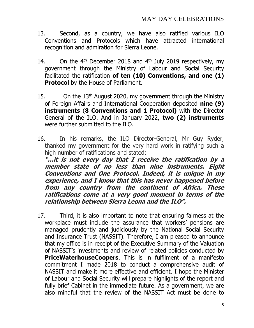- 13. Second, as a country, we have also ratified various ILO Conventions and Protocols which have attracted international recognition and admiration for Sierra Leone.
- 14. On the  $4<sup>th</sup>$  December 2018 and  $4<sup>th</sup>$  July 2019 respectively, my government through the Ministry of Labour and Social Security facilitated the ratification **of ten (10) Conventions, and one (1) Protocol** by the House of Parliament.
- 15. On the  $13<sup>th</sup>$  August 2020, my government through the Ministry of Foreign Affairs and International Cooperation deposited **nine (9) instruments** (**8 Conventions and 1 Protocol)** with the Director General of the ILO. And in January 2022, **two (2) instruments** were further submitted to the ILO.
- 16. In his remarks, the ILO Director-General, Mr Guy Ryder, thanked my government for the very hard work in ratifying such a high number of ratifications and stated:

**"…it is not every day that I receive the ratification by a member state of no less than nine instruments. Eight Conventions and One Protocol. Indeed, it is unique in my experience, and I know that this has never happened before from any country from the continent of Africa. These ratifications come at a very good moment in terms of the relationship between Sierra Leona and the ILO".**

17. Third, it is also important to note that ensuring fairness at the workplace must include the assurance that workers' pensions are managed prudently and judiciously by the National Social Security and Insurance Trust (NASSIT). Therefore, I am pleased to announce that my office is in receipt of the Executive Summary of the Valuation of NASSIT's investments and review of related policies conducted by **PriceWaterhouseCoopers**. This is in fulfilment of a manifesto commitment I made 2018 to conduct a comprehensive audit of NASSIT and make it more effective and efficient. I hope the Minister of Labour and Social Security will prepare highlights of the report and fully brief Cabinet in the immediate future. As a government, we are also mindful that the review of the NASSIT Act must be done to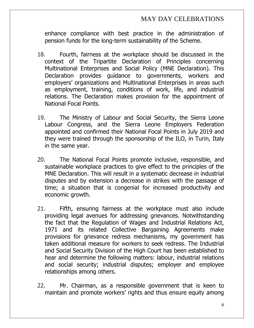enhance compliance with best practice in the administration of pension funds for the long-term sustainability of the Scheme.

- 18. Fourth, fairness at the workplace should be discussed in the context of the Tripartite Declaration of Principles concerning Multinational Enterprises and Social Policy (MNE Declaration). This Declaration provides guidance to governments, workers and employers' organizations and Multinational Enterprises in areas such as employment, training, conditions of work, life, and industrial relations. The Declaration makes provision for the appointment of National Focal Points.
- 19. The Ministry of Labour and Social Security, the Sierra Leone Labour Congress, and the Sierra Leone Employers Federation appointed and confirmed their National Focal Points in July 2019 and they were trained through the sponsorship of the ILO, in Turin, Italy in the same year.
- 20. The National Focal Points promote inclusive, responsible, and sustainable workplace practices to give effect to the principles of the MNE Declaration. This will result in a systematic decrease in industrial disputes and by extension a decrease in strikes with the passage of time; a situation that is congenial for increased productivity and economic growth.
- 21. Fifth, ensuring fairness at the workplace must also include providing legal avenues for addressing grievances. Notwithstanding the fact that the Regulation of Wages and Industrial Relations Act, 1971 and its related Collective Bargaining Agreements make provisions for grievance redress mechanisms, my government has taken additional measure for workers to seek redress. The Industrial and Social Security Division of the High Court has been established to hear and determine the following matters: labour, industrial relations and social security; industrial disputes; employer and employee relationships among others.
- 22. Mr. Chairman, as a responsible government that is keen to maintain and promote workers' rights and thus ensure equity among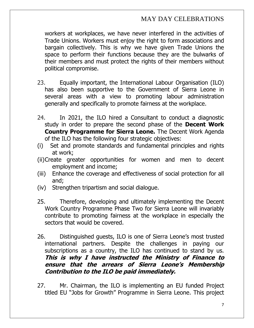workers at workplaces, we have never interfered in the activities of Trade Unions. Workers must enjoy the right to form associations and bargain collectively. This is why we have given Trade Unions the space to perform their functions because they are the bulwarks of their members and must protect the rights of their members without political compromise.

- 23. Equally important, the International Labour Organisation (ILO) has also been supportive to the Government of Sierra Leone in several areas with a view to promoting labour administration generally and specifically to promote fairness at the workplace.
- 24. In 2021, the ILO hired a Consultant to conduct a diagnostic study in order to prepare the second phase of the **Decent Work Country Programme for Sierra Leone.** The Decent Work Agenda of the ILO has the following four strategic objectives:
- (i) Set and promote standards and fundamental principles and rights at work;
- (ii)Create greater opportunities for women and men to decent employment and income;
- (iii) Enhance the coverage and effectiveness of social protection for all and;
- (iv) Strengthen tripartism and social dialogue.
- 25. Therefore, developing and ultimately implementing the Decent Work Country Programme Phase Two for Sierra Leone will invariably contribute to promoting fairness at the workplace in especially the sectors that would be covered.
- 26. Distinguished guests, ILO is one of Sierra Leone's most trusted international partners. Despite the challenges in paying our subscriptions as a country, the ILO has continued to stand by us. **This is why I have instructed the Ministry of Finance to ensure that the arrears of Sierra Leone's Membership Contribution to the ILO be paid immediately.**
- 27. Mr. Chairman, the ILO is implementing an EU funded Project titled EU "Jobs for Growth" Programme in Sierra Leone. This project